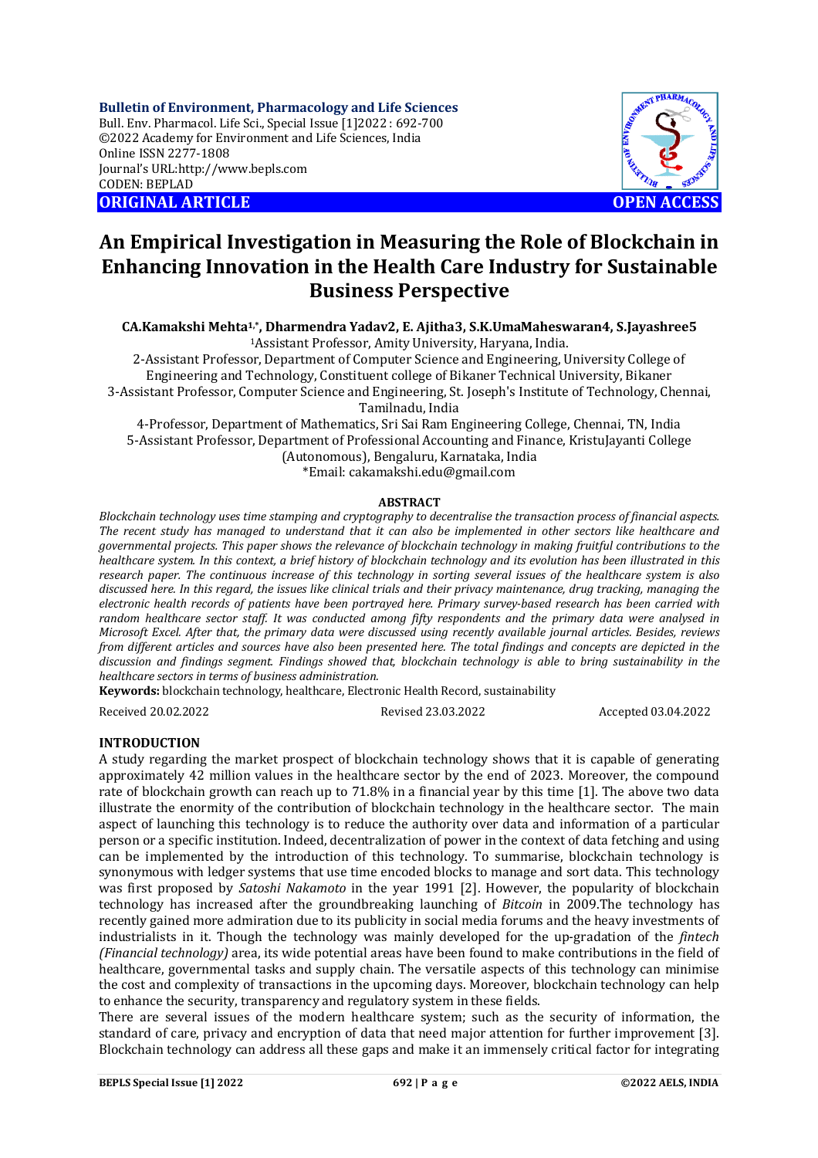**Bulletin of Environment, Pharmacology and Life Sciences** Bull. Env. Pharmacol. Life Sci., Special Issue [1]2022 : 692-700 ©2022 Academy for Environment and Life Sciences, India Online ISSN 2277-1808 Journal's URL:<http://www.bepls.com> CODEN: BEPLAD **ORIGINAL ARTICLE OPEN ACCESS** 



# **An Empirical Investigation in Measuring the Role of Blockchain in Enhancing Innovation in the Health Care Industry for Sustainable Business Perspective**

**CA.Kamakshi Mehta1,\*, Dharmendra Yadav2, E. Ajitha3, S.K.UmaMaheswaran4, S.Jayashree5** <sup>1</sup>Assistant Professor, Amity University, Haryana, India.

2-Assistant Professor, Department of Computer Science and Engineering, University College of Engineering and Technology, Constituent college of Bikaner Technical University, Bikaner 3-Assistant Professor, Computer Science and Engineering, St. Joseph's Institute of Technology, Chennai, Tamilnadu, India

4-Professor, Department of Mathematics, Sri Sai Ram Engineering College, Chennai, TN, India 5-Assistant Professor, Department of Professional Accounting and Finance, KristuJayanti College (Autonomous), Bengaluru, Karnataka, India \*Email: [cakamakshi.edu@gmail.com](mailto:cakamakshi.edu@gmail.com)

### **ABSTRACT**

*Blockchain technology uses time stamping and cryptography to decentralise the transaction process of financial aspects. The recent study has managed to understand that it can also be implemented in other sectors like healthcare and governmental projects. This paper shows the relevance of blockchain technology in making fruitful contributions to the healthcare system. In this context, a brief history of blockchain technology and its evolution has been illustrated in this research paper. The continuous increase of this technology in sorting several issues of the healthcare system is also discussed here. In this regard, the issues like clinical trials and their privacy maintenance, drug tracking, managing the electronic health records of patients have been portrayed here. Primary survey-based research has been carried with random healthcare sector staff. It was conducted among fifty respondents and the primary data were analysed in Microsoft Excel. After that, the primary data were discussed using recently available journal articles. Besides, reviews from different articles and sources have also been presented here. The total findings and concepts are depicted in the discussion and findings segment. Findings showed that, blockchain technology is able to bring sustainability in the healthcare sectors in terms of business administration.*

**Keywords:** blockchain technology, healthcare, Electronic Health Record, sustainability

Received 20.02.2022 Revised 23.03.2022 Accepted 03.04.2022

### **INTRODUCTION**

A study regarding the market prospect of blockchain technology shows that it is capable of generating approximately 42 million values in the healthcare sector by the end of 2023. Moreover, the compound rate of blockchain growth can reach up to 71.8% in a financial year by this time [1]. The above two data illustrate the enormity of the contribution of blockchain technology in the healthcare sector. The main aspect of launching this technology is to reduce the authority over data and information of a particular person or a specific institution. Indeed, decentralization of power in the context of data fetching and using can be implemented by the introduction of this technology. To summarise, blockchain technology is synonymous with ledger systems that use time encoded blocks to manage and sort data. This technology was first proposed by *Satoshi Nakamoto* in the year 1991 [2]. However, the popularity of blockchain technology has increased after the groundbreaking launching of *Bitcoin* in 2009.The technology has recently gained more admiration due to its publicity in social media forums and the heavy investments of industrialists in it. Though the technology was mainly developed for the up-gradation of the *fintech (Financial technology)* area, its wide potential areas have been found to make contributions in the field of healthcare, governmental tasks and supply chain. The versatile aspects of this technology can minimise the cost and complexity of transactions in the upcoming days. Moreover, blockchain technology can help to enhance the security, transparency and regulatory system in these fields.

There are several issues of the modern healthcare system; such as the security of information, the standard of care, privacy and encryption of data that need major attention for further improvement [3]. Blockchain technology can address all these gaps and make it an immensely critical factor for integrating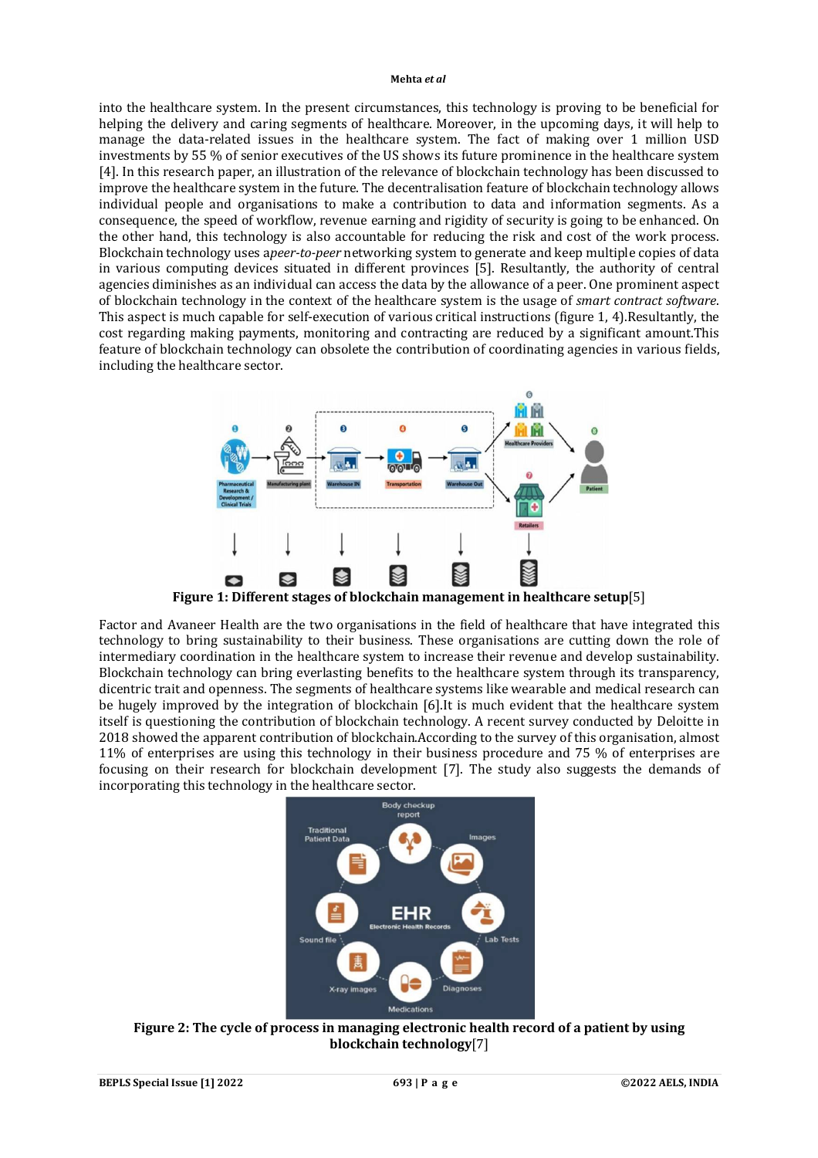into the healthcare system. In the present circumstances, this technology is proving to be beneficial for helping the delivery and caring segments of healthcare. Moreover, in the upcoming days, it will help to manage the data-related issues in the healthcare system. The fact of making over 1 million USD investments by 55 % of senior executives of the US shows its future prominence in the healthcare system [4]. In this research paper, an illustration of the relevance of blockchain technology has been discussed to improve the healthcare system in the future. The decentralisation feature of blockchain technology allows individual people and organisations to make a contribution to data and information segments. As a consequence, the speed of workflow, revenue earning and rigidity of security is going to be enhanced. On the other hand, this technology is also accountable for reducing the risk and cost of the work process. Blockchain technology uses a*peer-to-peer* networking system to generate and keep multiple copies of data in various computing devices situated in different provinces [5]. Resultantly, the authority of central agencies diminishes as an individual can access the data by the allowance of a peer. One prominent aspect of blockchain technology in the context of the healthcare system is the usage of *smart contract software*. This aspect is much capable for self-execution of various critical instructions (figure 1, 4).Resultantly, the cost regarding making payments, monitoring and contracting are reduced by a significant amount.This feature of blockchain technology can obsolete the contribution of coordinating agencies in various fields, including the healthcare sector.



Factor and Avaneer Health are the two organisations in the field of healthcare that have integrated this technology to bring sustainability to their business. These organisations are cutting down the role of intermediary coordination in the healthcare system to increase their revenue and develop sustainability. Blockchain technology can bring everlasting benefits to the healthcare system through its transparency, dicentric trait and openness. The segments of healthcare systems like wearable and medical research can be hugely improved by the integration of blockchain [6].It is much evident that the healthcare system itself is questioning the contribution of blockchain technology. A recent survey conducted by Deloitte in 2018 showed the apparent contribution of blockchain.According to the survey of this organisation, almost 11% of enterprises are using this technology in their business procedure and 75 % of enterprises are focusing on their research for blockchain development [7]. The study also suggests the demands of incorporating this technology in the healthcare sector.



**Figure 2: The cycle of process in managing electronic health record of a patient by using blockchain technology**[7]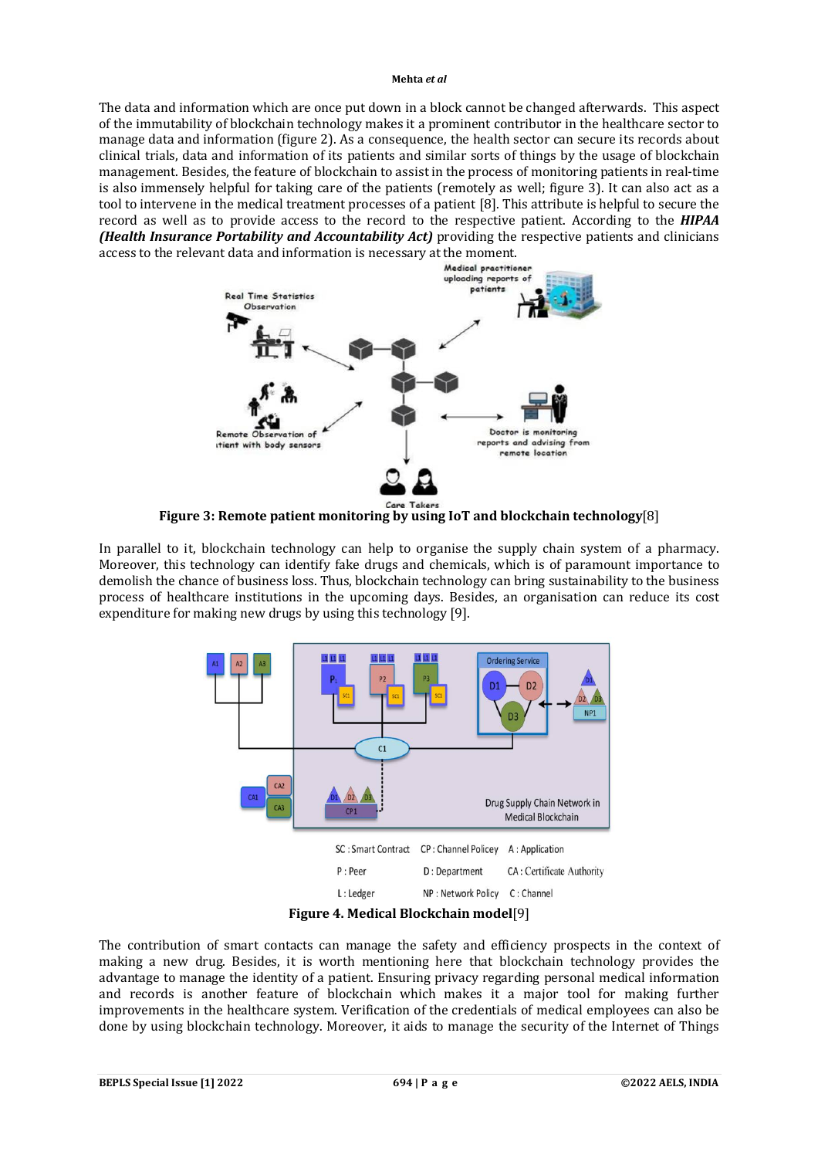The data and information which are once put down in a block cannot be changed afterwards. This aspect of the immutability of blockchain technology makes it a prominent contributor in the healthcare sector to manage data and information (figure 2). As a consequence, the health sector can secure its records about clinical trials, data and information of its patients and similar sorts of things by the usage of blockchain management. Besides, the feature of blockchain to assist in the process of monitoring patients in real-time is also immensely helpful for taking care of the patients (remotely as well; figure 3). It can also act as a tool to intervene in the medical treatment processes of a patient [8]. This attribute is helpful to secure the record as well as to provide access to the record to the respective patient. According to the *HIPAA (Health Insurance Portability and Accountability Act)* providing the respective patients and clinicians access to the relevant data and information is necessary at the moment.



**Figure 3: Remote patient monitoring by using IoT and blockchain technology**[8]

In parallel to it, blockchain technology can help to organise the supply chain system of a pharmacy. Moreover, this technology can identify fake drugs and chemicals, which is of paramount importance to demolish the chance of business loss. Thus, blockchain technology can bring sustainability to the business process of healthcare institutions in the upcoming days. Besides, an organisation can reduce its cost expenditure for making new drugs by using this technology [9].



**Figure 4. Medical Blockchain model**[9]

The contribution of smart contacts can manage the safety and efficiency prospects in the context of making a new drug. Besides, it is worth mentioning here that blockchain technology provides the advantage to manage the identity of a patient. Ensuring privacy regarding personal medical information and records is another feature of blockchain which makes it a major tool for making further improvements in the healthcare system. Verification of the credentials of medical employees can also be done by using blockchain technology. Moreover, it aids to manage the security of the Internet of Things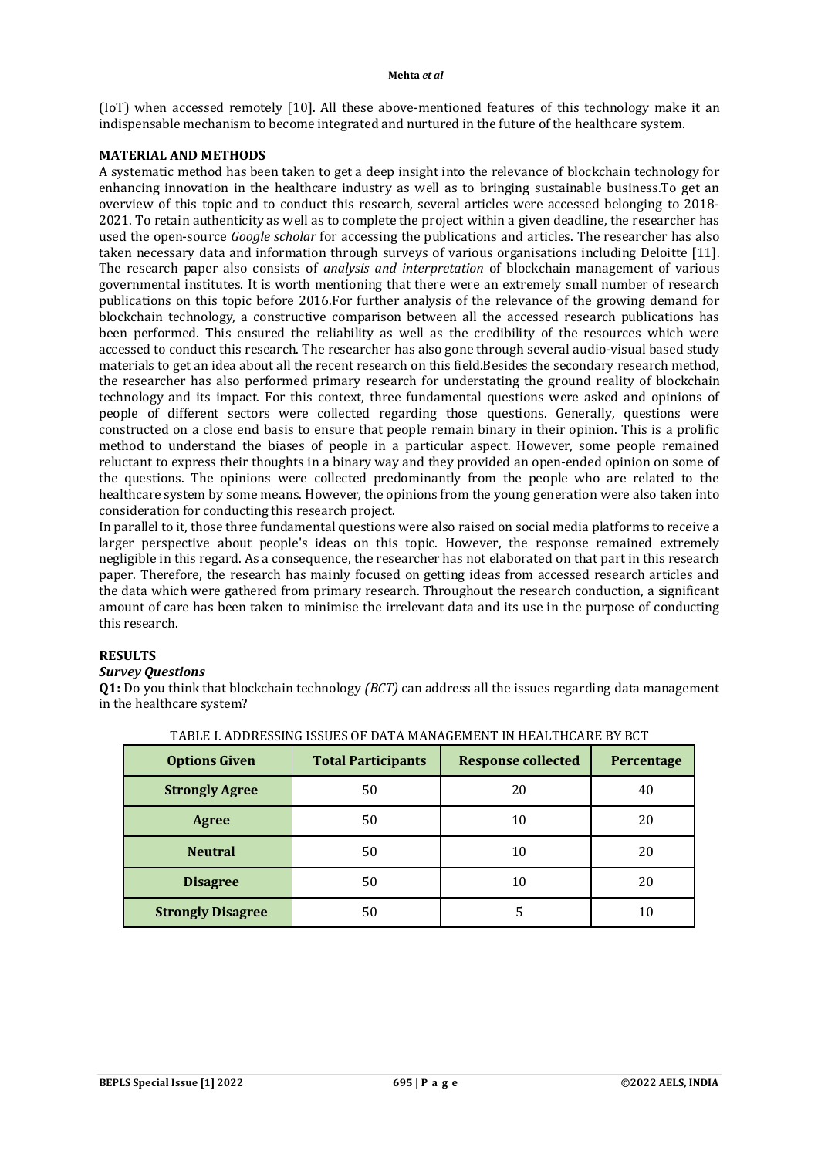(IoT) when accessed remotely [10]. All these above-mentioned features of this technology make it an indispensable mechanism to become integrated and nurtured in the future of the healthcare system.

# **MATERIAL AND METHODS**

A systematic method has been taken to get a deep insight into the relevance of blockchain technology for enhancing innovation in the healthcare industry as well as to bringing sustainable business.To get an overview of this topic and to conduct this research, several articles were accessed belonging to 2018- 2021. To retain authenticity as well as to complete the project within a given deadline, the researcher has used the open-source *Google scholar* for accessing the publications and articles. The researcher has also taken necessary data and information through surveys of various organisations including Deloitte [11]. The research paper also consists of *analysis and interpretation* of blockchain management of various governmental institutes. It is worth mentioning that there were an extremely small number of research publications on this topic before 2016.For further analysis of the relevance of the growing demand for blockchain technology, a constructive comparison between all the accessed research publications has been performed. This ensured the reliability as well as the credibility of the resources which were accessed to conduct this research. The researcher has also gone through several audio-visual based study materials to get an idea about all the recent research on this field.Besides the secondary research method, the researcher has also performed primary research for understating the ground reality of blockchain technology and its impact. For this context, three fundamental questions were asked and opinions of people of different sectors were collected regarding those questions. Generally, questions were constructed on a close end basis to ensure that people remain binary in their opinion. This is a prolific method to understand the biases of people in a particular aspect. However, some people remained reluctant to express their thoughts in a binary way and they provided an open-ended opinion on some of the questions. The opinions were collected predominantly from the people who are related to the healthcare system by some means. However, the opinions from the young generation were also taken into consideration for conducting this research project.

In parallel to it, those three fundamental questions were also raised on social media platforms to receive a larger perspective about people's ideas on this topic. However, the response remained extremely negligible in this regard. As a consequence, the researcher has not elaborated on that part in this research paper. Therefore, the research has mainly focused on getting ideas from accessed research articles and the data which were gathered from primary research. Throughout the research conduction, a significant amount of care has been taken to minimise the irrelevant data and its use in the purpose of conducting this research.

# **RESULTS**

### *Survey Questions*

**Q1:** Do you think that blockchain technology *(BCT)* can address all the issues regarding data management in the healthcare system?

| <b>Options Given</b>     | <b>Total Participants</b> | <b>Response collected</b> | Percentage |
|--------------------------|---------------------------|---------------------------|------------|
| <b>Strongly Agree</b>    | 50                        | 20                        | 40         |
| <b>Agree</b>             | 50                        | 10                        | 20         |
| <b>Neutral</b>           | 50                        | 10                        | 20         |
| <b>Disagree</b>          | 50                        | 10                        | 20         |
| <b>Strongly Disagree</b> | 50                        |                           | 10         |

| TABLE I. ADDRESSING ISSUES OF DATA MANAGEMENT IN HEALTHCARE BY BCT |  |
|--------------------------------------------------------------------|--|
|--------------------------------------------------------------------|--|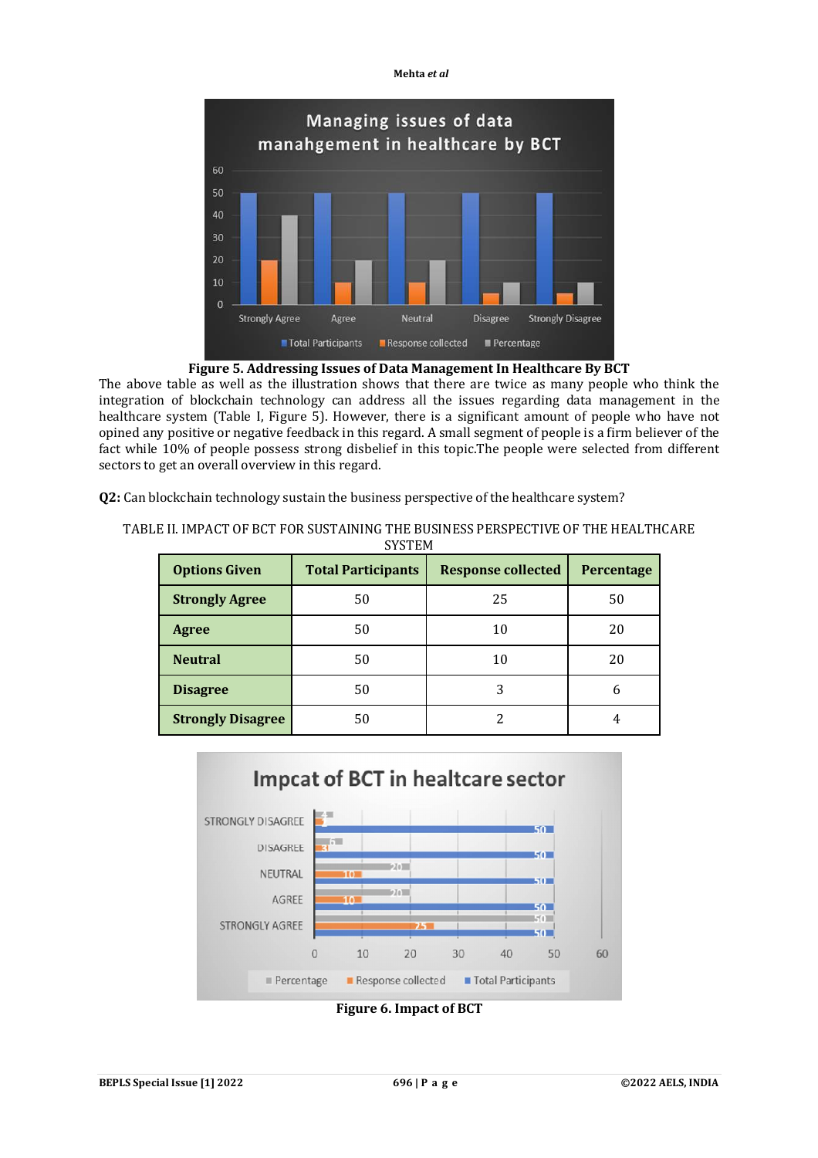



The above table as well as the illustration shows that there are twice as many people who think the integration of blockchain technology can address all the issues regarding data management in the healthcare system (Table I, Figure 5). However, there is a significant amount of people who have not opined any positive or negative feedback in this regard. A small segment of people is a firm believer of the fact while 10% of people possess strong disbelief in this topic.The people were selected from different sectors to get an overall overview in this regard.

TABLE II. IMPACT OF BCT FOR SUSTAINING THE BUSINESS PERSPECTIVE OF THE HEALTHCARE CVCTEM

**Q2:** Can blockchain technology sustain the business perspective of the healthcare system?

| <b>Options Given</b>     | <b>Total Participants</b> | <b>Response collected</b> | Percentage |
|--------------------------|---------------------------|---------------------------|------------|
| <b>Strongly Agree</b>    | 50                        | 25                        | 50         |
| Agree                    | 50                        | 10                        | 20         |
| <b>Neutral</b>           | 50                        | 10                        | 20         |
| <b>Disagree</b>          | 50                        | 3                         | 6          |
| <b>Strongly Disagree</b> | 50                        |                           |            |



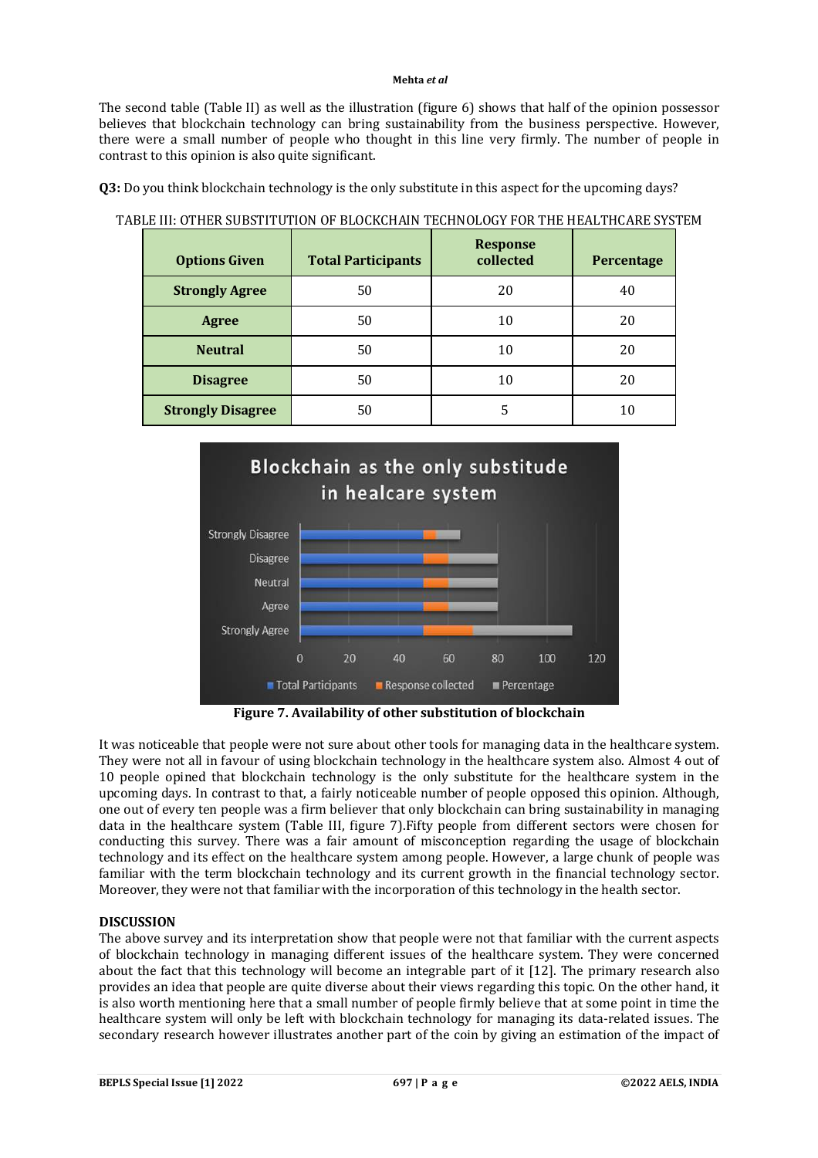The second table (Table II) as well as the illustration (figure 6) shows that half of the opinion possessor believes that blockchain technology can bring sustainability from the business perspective. However, there were a small number of people who thought in this line very firmly. The number of people in contrast to this opinion is also quite significant.

**Q3:** Do you think blockchain technology is the only substitute in this aspect for the upcoming days?

**Options Given Total Participants Response Percentage Strongly Agree** 50 50 20 40 **Agree 10 50 10 20 Neutral** | 50 | 10 | 20 **Disagree** 50 10 20 **Strongly Disagree** 50 5 5 5 10

### TABLE III: OTHER SUBSTITUTION OF BLOCKCHAIN TECHNOLOGY FOR THE HEALTHCARE SYSTEM



**Figure 7. Availability of other substitution of blockchain**

It was noticeable that people were not sure about other tools for managing data in the healthcare system. They were not all in favour of using blockchain technology in the healthcare system also. Almost 4 out of 10 people opined that blockchain technology is the only substitute for the healthcare system in the upcoming days. In contrast to that, a fairly noticeable number of people opposed this opinion. Although, one out of every ten people was a firm believer that only blockchain can bring sustainability in managing data in the healthcare system (Table III, figure 7).Fifty people from different sectors were chosen for conducting this survey. There was a fair amount of misconception regarding the usage of blockchain technology and its effect on the healthcare system among people. However, a large chunk of people was familiar with the term blockchain technology and its current growth in the financial technology sector. Moreover, they were not that familiar with the incorporation of this technology in the health sector.

# **DISCUSSION**

The above survey and its interpretation show that people were not that familiar with the current aspects of blockchain technology in managing different issues of the healthcare system. They were concerned about the fact that this technology will become an integrable part of it [12]. The primary research also provides an idea that people are quite diverse about their views regarding this topic. On the other hand, it is also worth mentioning here that a small number of people firmly believe that at some point in time the healthcare system will only be left with blockchain technology for managing its data-related issues. The secondary research however illustrates another part of the coin by giving an estimation of the impact of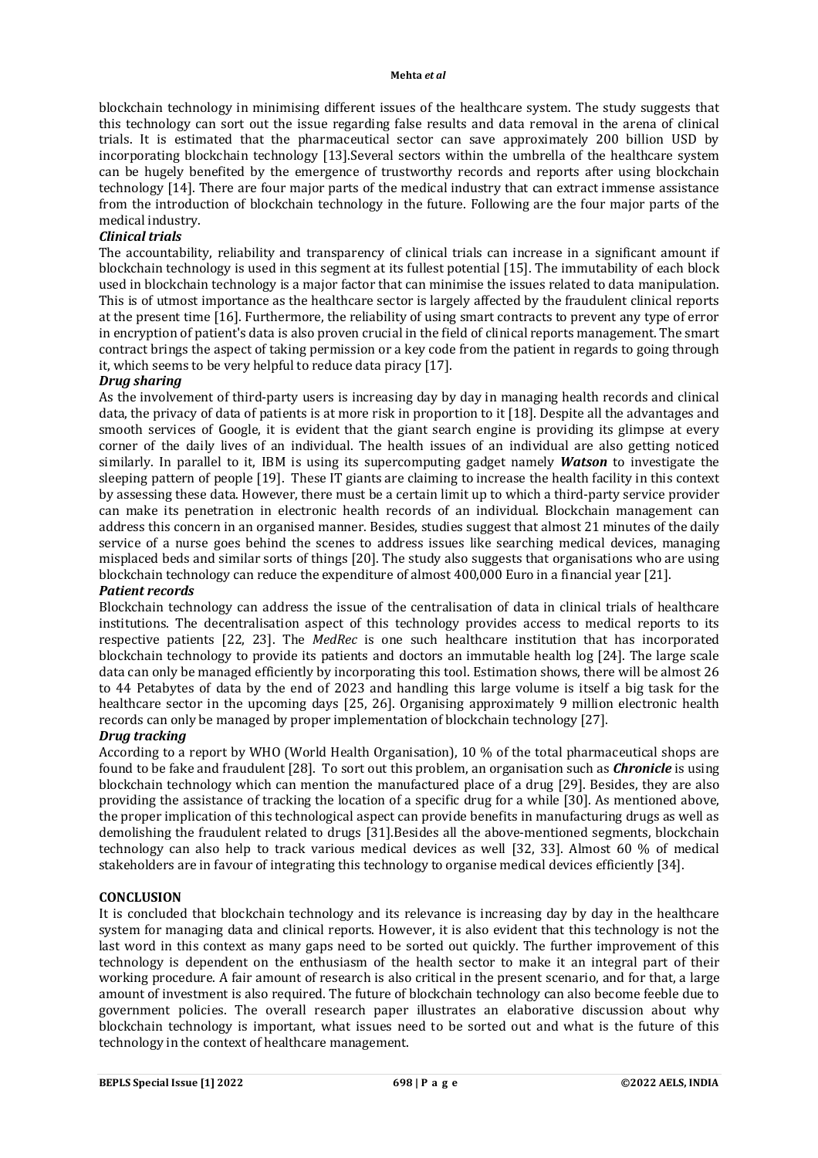blockchain technology in minimising different issues of the healthcare system. The study suggests that this technology can sort out the issue regarding false results and data removal in the arena of clinical trials. It is estimated that the pharmaceutical sector can save approximately 200 billion USD by incorporating blockchain technology [13].Several sectors within the umbrella of the healthcare system can be hugely benefited by the emergence of trustworthy records and reports after using blockchain technology [14]. There are four major parts of the medical industry that can extract immense assistance from the introduction of blockchain technology in the future. Following are the four major parts of the medical industry.

# *Clinical trials*

The accountability, reliability and transparency of clinical trials can increase in a significant amount if blockchain technology is used in this segment at its fullest potential [15]. The immutability of each block used in blockchain technology is a major factor that can minimise the issues related to data manipulation. This is of utmost importance as the healthcare sector is largely affected by the fraudulent clinical reports at the present time [16]. Furthermore, the reliability of using smart contracts to prevent any type of error in encryption of patient's data is also proven crucial in the field of clinical reports management. The smart contract brings the aspect of taking permission or a key code from the patient in regards to going through it, which seems to be very helpful to reduce data piracy [17].

### *Drug sharing*

As the involvement of third-party users is increasing day by day in managing health records and clinical data, the privacy of data of patients is at more risk in proportion to it [18]. Despite all the advantages and smooth services of Google, it is evident that the giant search engine is providing its glimpse at every corner of the daily lives of an individual. The health issues of an individual are also getting noticed similarly. In parallel to it, IBM is using its supercomputing gadget namely *Watson* to investigate the sleeping pattern of people [19]. These IT giants are claiming to increase the health facility in this context by assessing these data. However, there must be a certain limit up to which a third-party service provider can make its penetration in electronic health records of an individual. Blockchain management can address this concern in an organised manner. Besides, studies suggest that almost 21 minutes of the daily service of a nurse goes behind the scenes to address issues like searching medical devices, managing misplaced beds and similar sorts of things [20]. The study also suggests that organisations who are using blockchain technology can reduce the expenditure of almost 400,000 Euro in a financial year [21].

### *Patient records*

Blockchain technology can address the issue of the centralisation of data in clinical trials of healthcare institutions. The decentralisation aspect of this technology provides access to medical reports to its respective patients [22, 23]. The *MedRec* is one such healthcare institution that has incorporated blockchain technology to provide its patients and doctors an immutable health log [24]. The large scale data can only be managed efficiently by incorporating this tool. Estimation shows, there will be almost 26 to 44 Petabytes of data by the end of 2023 and handling this large volume is itself a big task for the healthcare sector in the upcoming days [25, 26]. Organising approximately 9 million electronic health records can only be managed by proper implementation of blockchain technology [27].

### *Drug tracking*

According to a report by WHO (World Health Organisation), 10 % of the total pharmaceutical shops are found to be fake and fraudulent [28]. To sort out this problem, an organisation such as *Chronicle* is using blockchain technology which can mention the manufactured place of a drug [29]. Besides, they are also providing the assistance of tracking the location of a specific drug for a while [30]. As mentioned above, the proper implication of this technological aspect can provide benefits in manufacturing drugs as well as demolishing the fraudulent related to drugs [31].Besides all the above-mentioned segments, blockchain technology can also help to track various medical devices as well [32, 33]. Almost 60 % of medical stakeholders are in favour of integrating this technology to organise medical devices efficiently [34].

### **CONCLUSION**

It is concluded that blockchain technology and its relevance is increasing day by day in the healthcare system for managing data and clinical reports. However, it is also evident that this technology is not the last word in this context as many gaps need to be sorted out quickly. The further improvement of this technology is dependent on the enthusiasm of the health sector to make it an integral part of their working procedure. A fair amount of research is also critical in the present scenario, and for that, a large amount of investment is also required. The future of blockchain technology can also become feeble due to government policies. The overall research paper illustrates an elaborative discussion about why blockchain technology is important, what issues need to be sorted out and what is the future of this technology in the context of healthcare management.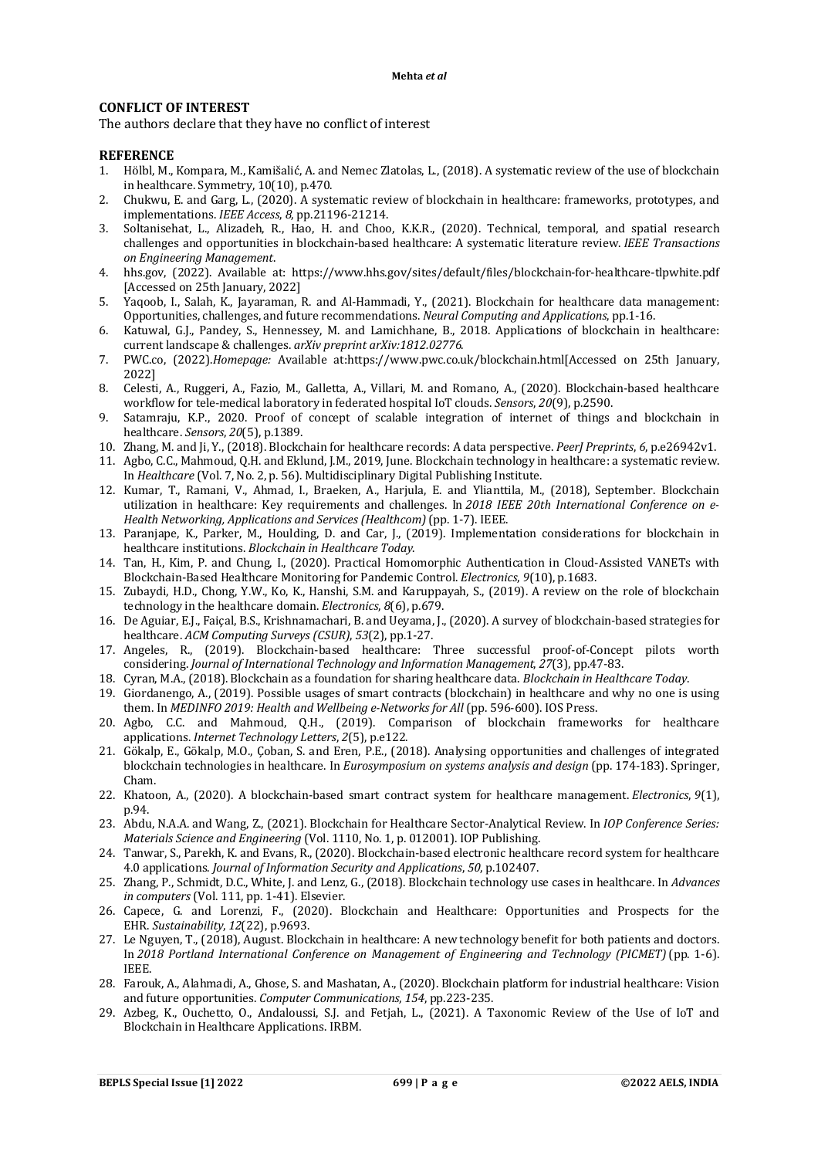### **CONFLICT OF INTEREST**

The authors declare that they have no conflict of interest

### **REFERENCE**

- 1. Hölbl, M., Kompara, M., Kamišalić, A. and Nemec Zlatolas, L., (2018). A systematic review of the use of blockchain in healthcare. Symmetry, 10(10), p.470.
- 2. Chukwu, E. and Garg, L., (2020). A systematic review of blockchain in healthcare: frameworks, prototypes, and implementations. *IEEE Access*, *8*, pp.21196-21214.
- 3. Soltanisehat, L., Alizadeh, R., Hao, H. and Choo, K.K.R., (2020). Technical, temporal, and spatial research challenges and opportunities in blockchain-based healthcare: A systematic literature review. *IEEE Transactions on Engineering Management*.
- 4. hhs.gov, (2022). Available at: <https://www.hhs.gov/sites/default/files/blockchain-for-healthcare-tlpwhite.pdf> [Accessed on 25th January, 2022]
- 5. Yaqoob, I., Salah, K., Jayaraman, R. and Al-Hammadi, Y., (2021). Blockchain for healthcare data management: Opportunities, challenges, and future recommendations. *Neural Computing and Applications*, pp.1-16.
- 6. Katuwal, G.J., Pandey, S., Hennessey, M. and Lamichhane, B., 2018. Applications of blockchain in healthcare: current landscape & challenges. *arXiv preprint arXiv:1812.02776*.
- 7. PWC.co, (2022).*Homepage:* Available at:[https://www.pwc.co.uk/blockchain.html\[](https://www.pwc.co.uk/blockchain.html)Accessed on 25th January, 2022]
- 8. Celesti, A., Ruggeri, A., Fazio, M., Galletta, A., Villari, M. and Romano, A., (2020). Blockchain-based healthcare workflow for tele-medical laboratory in federated hospital IoT clouds. *Sensors*, *20*(9), p.2590.
- 9. Satamraju, K.P., 2020. Proof of concept of scalable integration of internet of things and blockchain in healthcare. *Sensors*, *20*(5), p.1389.
- 10. Zhang, M. and Ji, Y., (2018). Blockchain for healthcare records: A data perspective. *PeerJ Preprints*, *6*, p.e26942v1.
- 11. Agbo, C.C., Mahmoud, Q.H. and Eklund, J.M., 2019, June. Blockchain technology in healthcare: a systematic review. In *Healthcare* (Vol. 7, No. 2, p. 56). Multidisciplinary Digital Publishing Institute.
- 12. Kumar, T., Ramani, V., Ahmad, I., Braeken, A., Harjula, E. and Ylianttila, M., (2018), September. Blockchain utilization in healthcare: Key requirements and challenges. In *2018 IEEE 20th International Conference on e-Health Networking, Applications and Services (Healthcom)*(pp. 1-7). IEEE.
- 13. Paranjape, K., Parker, M., Houlding, D. and Car, J., (2019). Implementation considerations for blockchain in healthcare institutions. *Blockchain in Healthcare Today*.
- 14. Tan, H., Kim, P. and Chung, I., (2020). Practical Homomorphic Authentication in Cloud-Assisted VANETs with Blockchain-Based Healthcare Monitoring for Pandemic Control. *Electronics*, *9*(10), p.1683.
- 15. Zubaydi, H.D., Chong, Y.W., Ko, K., Hanshi, S.M. and Karuppayah, S., (2019). A review on the role of blockchain technology in the healthcare domain. *Electronics*, *8*(6), p.679.
- 16. De Aguiar, E.J., Faiçal, B.S., Krishnamachari, B. and Ueyama, J., (2020). A survey of blockchain-based strategies for healthcare. *ACM Computing Surveys (CSUR)*, *53*(2), pp.1-27.
- 17. Angeles, R., (2019). Blockchain-based healthcare: Three successful proof-of-Concept pilots worth considering. *Journal of International Technology and Information Management*, *27*(3), pp.47-83.
- 18. Cyran, M.A., (2018). Blockchain as a foundation for sharing healthcare data. *Blockchain in Healthcare Today*.
- 19. Giordanengo, A., (2019). Possible usages of smart contracts (blockchain) in healthcare and why no one is using them. In *MEDINFO 2019: Health and Wellbeing e-Networks for All* (pp. 596-600). IOS Press.
- 20. Agbo, C.C. and Mahmoud, Q.H., (2019). Comparison of blockchain frameworks for healthcare applications. *Internet Technology Letters*, *2*(5), p.e122.
- 21. Gökalp, E., Gökalp, M.O., Çoban, S. and Eren, P.E., (2018). Analysing opportunities and challenges of integrated blockchain technologies in healthcare. In *Eurosymposium on systems analysis and design* (pp. 174-183). Springer, Cham.
- 22. Khatoon, A., (2020). A blockchain-based smart contract system for healthcare management. *Electronics*, *9*(1), p.94.
- 23. Abdu, N.A.A. and Wang, Z., (2021). Blockchain for Healthcare Sector-Analytical Review. In *IOP Conference Series: Materials Science and Engineering* (Vol. 1110, No. 1, p. 012001). IOP Publishing.
- 24. Tanwar, S., Parekh, K. and Evans, R., (2020). Blockchain-based electronic healthcare record system for healthcare 4.0 applications. *Journal of Information Security and Applications*, *50*, p.102407.
- 25. Zhang, P., Schmidt, D.C., White, J. and Lenz, G., (2018). Blockchain technology use cases in healthcare. In *Advances in computers* (Vol. 111, pp. 1-41). Elsevier.
- 26. Capece, G. and Lorenzi, F., (2020). Blockchain and Healthcare: Opportunities and Prospects for the EHR. *Sustainability*, *12*(22), p.9693.
- 27. Le Nguyen, T., (2018), August. Blockchain in healthcare: A new technology benefit for both patients and doctors. In *2018 Portland International Conference on Management of Engineering and Technology (PICMET)*(pp. 1-6). IEEE.
- 28. Farouk, A., Alahmadi, A., Ghose, S. and Mashatan, A., (2020). Blockchain platform for industrial healthcare: Vision and future opportunities. *Computer Communications*, *154*, pp.223-235.
- 29. Azbeg, K., Ouchetto, O., Andaloussi, S.J. and Fetjah, L., (2021). A Taxonomic Review of the Use of IoT and Blockchain in Healthcare Applications. IRBM.